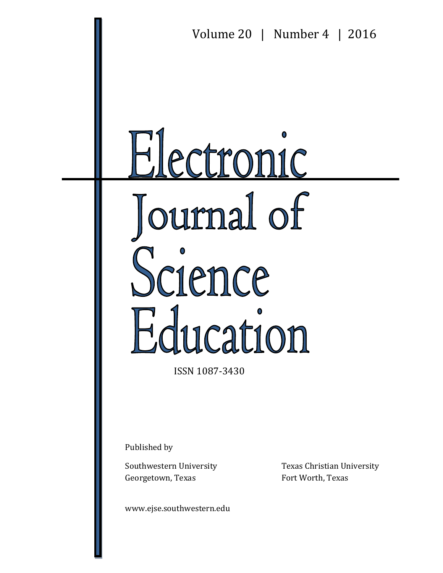

ISSN 1087-3430

Published by

Georgetown, Texas Fort Worth, Texas

www.ejse.southwestern.edu

Southwestern University Texas Christian University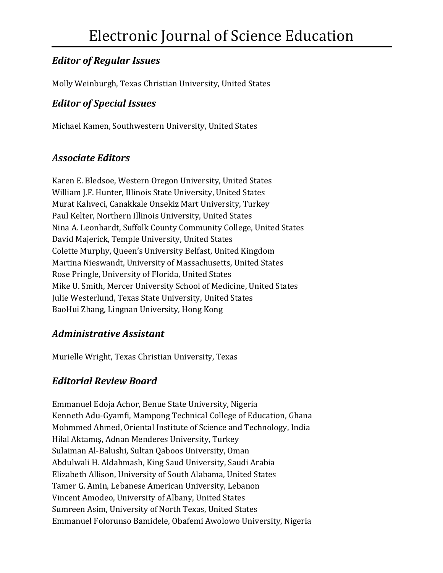### *Editor of Regular Issues*

Molly Weinburgh, Texas Christian University, United States

#### *Editor of Special Issues*

Michael Kamen, Southwestern University, United States

#### *Associate Editors*

Karen E. Bledsoe, Western Oregon University, United States William J.F. Hunter, Illinois State University, United States Murat Kahveci, Canakkale Onsekiz Mart University, Turkey Paul Kelter, Northern Illinois University, United States Nina A. Leonhardt, Suffolk County Community College, United States David Majerick, Temple University, United States Colette Murphy, Queen's University Belfast, United Kingdom Martina Nieswandt, University of Massachusetts, United States Rose Pringle, University of Florida, United States Mike U. Smith, Mercer University School of Medicine, United States Julie Westerlund, Texas State University, United States BaoHui Zhang, Lingnan University, Hong Kong

#### *Administrative Assistant*

Murielle Wright, Texas Christian University, Texas

### *Editorial Review Board*

Emmanuel Edoja Achor, Benue State University, Nigeria Kenneth Adu-Gyamfi, Mampong Technical College of Education, Ghana Mohmmed Ahmed, Oriental Institute of Science and Technology, India Hilal Aktamış, Adnan Menderes University, Turkey Sulaiman Al-Balushi, Sultan Qaboos University, Oman Abdulwali H. Aldahmash, King Saud University, Saudi Arabia Elizabeth Allison, University of South Alabama, United States Tamer G. Amin, Lebanese American University, Lebanon Vincent Amodeo, University of Albany, United States Sumreen Asim, University of North Texas, United States Emmanuel Folorunso Bamidele, Obafemi Awolowo University, Nigeria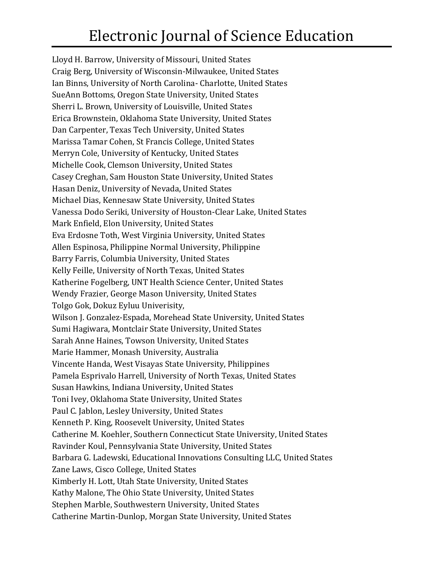# Electronic Journal of Science Education

Lloyd H. Barrow, University of Missouri, United States Craig Berg, University of Wisconsin-Milwaukee, United States Ian Binns, University of North Carolina- Charlotte, United States SueAnn Bottoms, Oregon State University, United States Sherri L. Brown, University of Louisville, United States Erica Brownstein, Oklahoma State University, United States Dan Carpenter, Texas Tech University, United States Marissa Tamar Cohen, St Francis College, United States Merryn Cole, University of Kentucky, United States Michelle Cook, Clemson University, United States Casey Creghan, Sam Houston State University, United States Hasan Deniz, University of Nevada, United States Michael Dias, Kennesaw State University, United States Vanessa Dodo Seriki, University of Houston-Clear Lake, United States Mark Enfield, Elon University, United States Eva Erdosne Toth, West Virginia University, United States Allen Espinosa, Philippine Normal University, Philippine Barry Farris, Columbia University, United States Kelly Feille, University of North Texas, United States Katherine Fogelberg, UNT Health Science Center, United States Wendy Frazier, George Mason University, United States Tolgo Gok, Dokuz Eyluu Univerisity, Wilson J. Gonzalez-Espada, Morehead State University, United States Sumi Hagiwara, Montclair State University, United States Sarah Anne Haines, Towson University, United States Marie Hammer, Monash University, Australia Vincente Handa, West Visayas State University, Philippines Pamela Esprivalo Harrell, University of North Texas, United States Susan Hawkins, Indiana University, United States Toni Ivey, Oklahoma State University, United States Paul C. Jablon, Lesley University, United States Kenneth P. King, Roosevelt University, United States Catherine M. Koehler, Southern Connecticut State University, United States Ravinder Koul, Pennsylvania State University, United States Barbara G. Ladewski, Educational Innovations Consulting LLC, United States Zane Laws, Cisco College, United States Kimberly H. Lott, Utah State University, United States Kathy Malone, The Ohio State University, United States Stephen Marble, Southwestern University, United States Catherine Martin-Dunlop, Morgan State University, United States